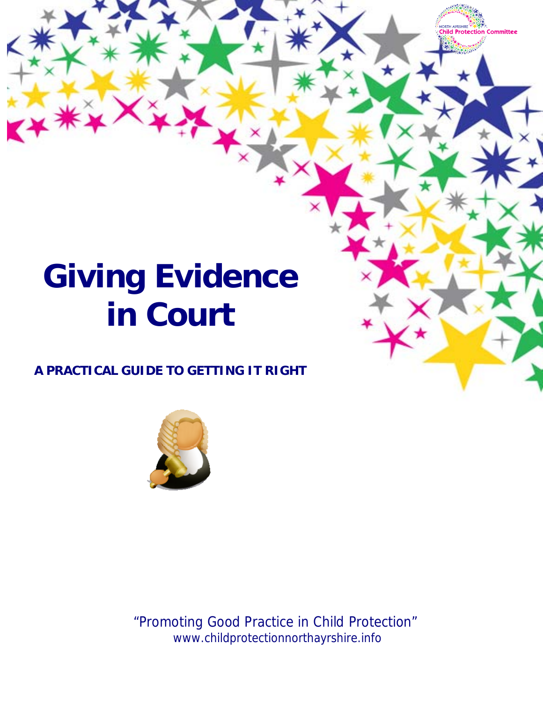# **Giving Evidence in Court**

# **A PRACTICAL GUIDE TO GETTING IT RIGHT**



"Promoting Good Practice in Child Protection" www.childprotectionnorthayrshire.info

Committee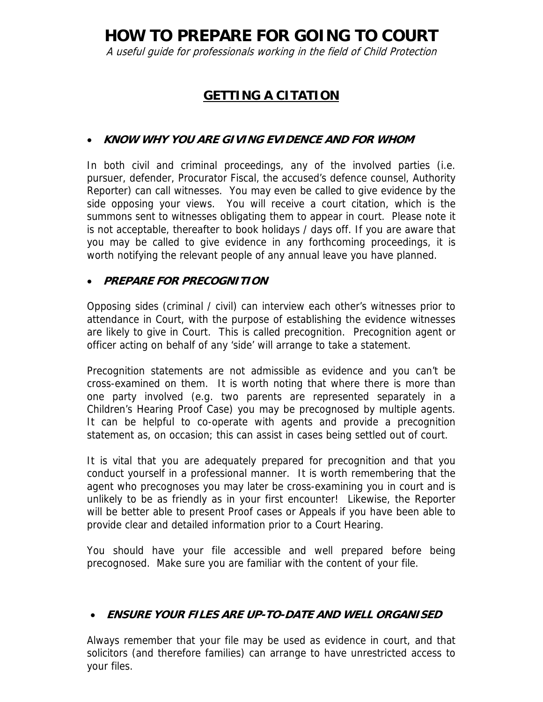**HOW TO PREPARE FOR GOING TO COURT**

A useful guide for professionals working in the field of Child Protection

# **GETTING A CITATION**

# • **KNOW WHY YOU ARE GIVING EVIDENCE AND FOR WHOM**

In both civil and criminal proceedings, any of the involved parties (i.e. pursuer, defender, Procurator Fiscal, the accused's defence counsel, Authority Reporter) can call witnesses. You may even be called to give evidence by the side opposing your views. You will receive a court citation, which is the summons sent to witnesses obligating them to appear in court. Please note it is not acceptable, thereafter to book holidays / days off. If you are aware that you may be called to give evidence in any forthcoming proceedings, it is worth notifying the relevant people of any annual leave you have planned.

## • **PREPARE FOR PRECOGNITION**

Opposing sides (criminal / civil) can interview each other's witnesses prior to attendance in Court, with the purpose of establishing the evidence witnesses are likely to give in Court. This is called precognition. Precognition agent or officer acting on behalf of any 'side' will arrange to take a statement.

Precognition statements are not admissible as evidence and you can't be cross-examined on them. It is worth noting that where there is more than one party involved (e.g. two parents are represented separately in a Children's Hearing Proof Case) you may be precognosed by multiple agents. It can be helpful to co-operate with agents and provide a precognition statement as, on occasion; this can assist in cases being settled out of court.

It is vital that you are adequately prepared for precognition and that you conduct yourself in a professional manner. It is worth remembering that the agent who precognoses you may later be cross-examining you in court and is unlikely to be as friendly as in your first encounter! Likewise, the Reporter will be better able to present Proof cases or Appeals if you have been able to provide clear and detailed information prior to a Court Hearing.

You should have your file accessible and well prepared before being precognosed. Make sure you are familiar with the content of your file.

## • **ENSURE YOUR FILES ARE UP-TO-DATE AND WELL ORGANISED**

Always remember that your file may be used as evidence in court, and that solicitors (and therefore families) can arrange to have unrestricted access to your files.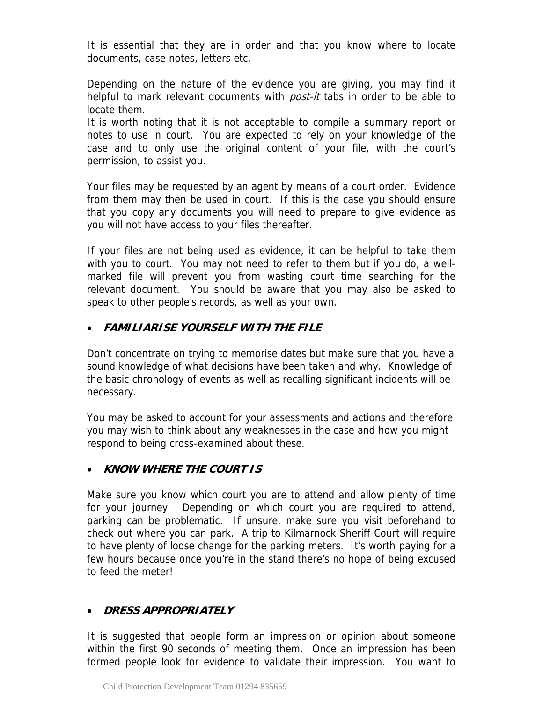It is essential that they are in order and that you know where to locate documents, case notes, letters etc.

Depending on the nature of the evidence you are giving, you may find it helpful to mark relevant documents with *post-it* tabs in order to be able to locate them.

It is worth noting that it is not acceptable to compile a summary report or notes to use in court. You are expected to rely on your knowledge of the case and to only use the original content of your file, with the court's permission, to assist you.

Your files may be requested by an agent by means of a court order. Evidence from them may then be used in court. If this is the case you should ensure that you copy any documents you will need to prepare to give evidence as you will not have access to your files thereafter.

If your files are not being used as evidence, it can be helpful to take them with you to court. You may not need to refer to them but if you do, a wellmarked file will prevent you from wasting court time searching for the relevant document. You should be aware that you may also be asked to speak to other people's records, as well as your own.

# • **FAMILIARISE YOURSELF WITH THE FILE**

Don't concentrate on trying to memorise dates but make sure that you have a sound knowledge of what decisions have been taken and why. Knowledge of the basic chronology of events as well as recalling significant incidents will be necessary.

You may be asked to account for your assessments and actions and therefore you may wish to think about any weaknesses in the case and how you might respond to being cross-examined about these.

## • **KNOW WHERE THE COURT IS**

Make sure you know which court you are to attend and allow plenty of time for your journey. Depending on which court you are required to attend, parking can be problematic. If unsure, make sure you visit beforehand to check out where you can park. A trip to Kilmarnock Sheriff Court will require to have plenty of loose change for the parking meters. It's worth paying for a few hours because once you're in the stand there's no hope of being excused to feed the meter!

# • **DRESS APPROPRIATELY**

It is suggested that people form an impression or opinion about someone within the first 90 seconds of meeting them. Once an impression has been formed people look for evidence to validate their impression. You want to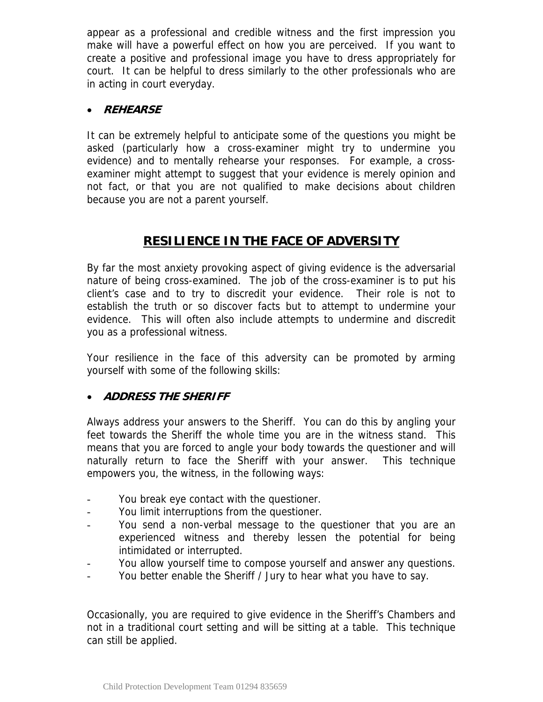appear as a professional and credible witness and the first impression you make will have a powerful effect on how you are perceived. If you want to create a positive and professional image you have to dress appropriately for court. It can be helpful to dress similarly to the other professionals who are in acting in court everyday.

# • **REHEARSE**

It can be extremely helpful to anticipate some of the questions you might be asked (particularly how a cross-examiner might try to undermine you evidence) and to mentally rehearse your responses. For example, a crossexaminer might attempt to suggest that your evidence is merely opinion and not fact, or that you are not qualified to make decisions about children because you are not a parent yourself.

# **RESILIENCE IN THE FACE OF ADVERSITY**

By far the most anxiety provoking aspect of giving evidence is the adversarial nature of being cross-examined. The job of the cross-examiner is to put his client's case and to try to discredit your evidence. Their role is not to establish the truth or so discover facts but to attempt to undermine your evidence. This will often also include attempts to undermine and discredit you as a professional witness.

Your resilience in the face of this adversity can be promoted by arming yourself with some of the following skills:

## • **ADDRESS THE SHERIFF**

Always address your answers to the Sheriff. You can do this by angling your feet towards the Sheriff the whole time you are in the witness stand. This means that you are forced to angle your body towards the questioner and will naturally return to face the Sheriff with your answer. This technique empowers you, the witness, in the following ways:

- You break eye contact with the questioner.
- You limit interruptions from the questioner.
- You send a non-verbal message to the questioner that you are an experienced witness and thereby lessen the potential for being intimidated or interrupted.
- You allow yourself time to compose yourself and answer any questions.
- You better enable the Sheriff / Jury to hear what you have to say.

Occasionally, you are required to give evidence in the Sheriff's Chambers and not in a traditional court setting and will be sitting at a table. This technique can still be applied.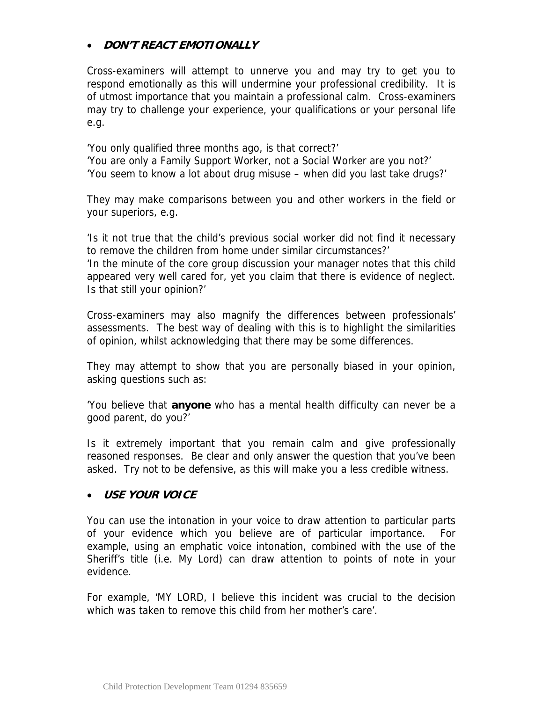# • **DON'T REACT EMOTIONALLY**

Cross-examiners will attempt to unnerve you and may try to get you to respond emotionally as this will undermine your professional credibility. It is of utmost importance that you maintain a professional calm. Cross-examiners may try to challenge your experience, your qualifications or your personal life e.g.

'You only qualified three months ago, is that correct?' 'You are only a Family Support Worker, not a Social Worker are you not?' 'You seem to know a lot about drug misuse – when did you last take drugs?'

They may make comparisons between you and other workers in the field or your superiors, e.g.

'Is it not true that the child's previous social worker did not find it necessary to remove the children from home under similar circumstances?'

'In the minute of the core group discussion your manager notes that this child appeared very well cared for, yet you claim that there is evidence of neglect. Is that still your opinion?'

Cross-examiners may also magnify the differences between professionals' assessments. The best way of dealing with this is to highlight the similarities of opinion, whilst acknowledging that there may be some differences.

They may attempt to show that you are personally biased in your opinion, asking questions such as:

'You believe that **anyone** who has a mental health difficulty can never be a good parent, do you?'

Is it extremely important that you remain calm and give professionally reasoned responses. Be clear and only answer the question that you've been asked. Try not to be defensive, as this will make you a less credible witness.

## • **USE YOUR VOICE**

You can use the intonation in your voice to draw attention to particular parts of your evidence which you believe are of particular importance. For example, using an emphatic voice intonation, combined with the use of the Sheriff's title (i.e. My Lord) can draw attention to points of note in your evidence.

For example, 'MY LORD, I believe this incident was crucial to the decision which was taken to remove this child from her mother's care'.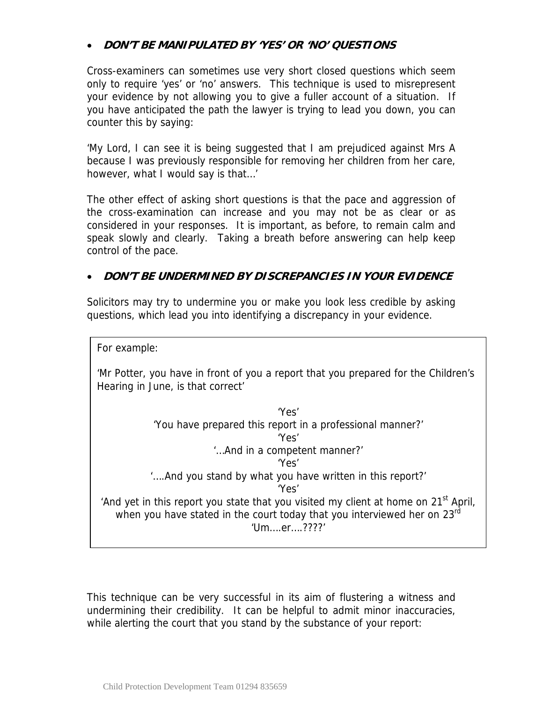# • **DON'T BE MANIPULATED BY 'YES' OR 'NO' QUESTIONS**

Cross-examiners can sometimes use very short closed questions which seem only to require 'yes' or 'no' answers. This technique is used to misrepresent your evidence by not allowing you to give a fuller account of a situation. If you have anticipated the path the lawyer is trying to lead you down, you can counter this by saying:

'My Lord, I can see it is being suggested that I am prejudiced against Mrs A because I was previously responsible for removing her children from her care, however, what I would say is that…'

The other effect of asking short questions is that the pace and aggression of the cross-examination can increase and you may not be as clear or as considered in your responses. It is important, as before, to remain calm and speak slowly and clearly. Taking a breath before answering can help keep control of the pace.

## • **DON'T BE UNDERMINED BY DISCREPANCIES IN YOUR EVIDENCE**

Solicitors may try to undermine you or make you look less credible by asking questions, which lead you into identifying a discrepancy in your evidence.

For example:

'Mr Potter, you have in front of you a report that you prepared for the Children's Hearing in June, is that correct'

'Yes' 'You have prepared this report in a professional manner?' 'Yes' '…And in a competent manner?' 'Yes' '….And you stand by what you have written in this report?' 'Yes' 'And yet in this report you state that you visited my client at home on  $21<sup>st</sup>$  April, when you have stated in the court today that you interviewed her on 23rd 'Um….er….????'

This technique can be very successful in its aim of flustering a witness and undermining their credibility. It can be helpful to admit minor inaccuracies, while alerting the court that you stand by the substance of your report: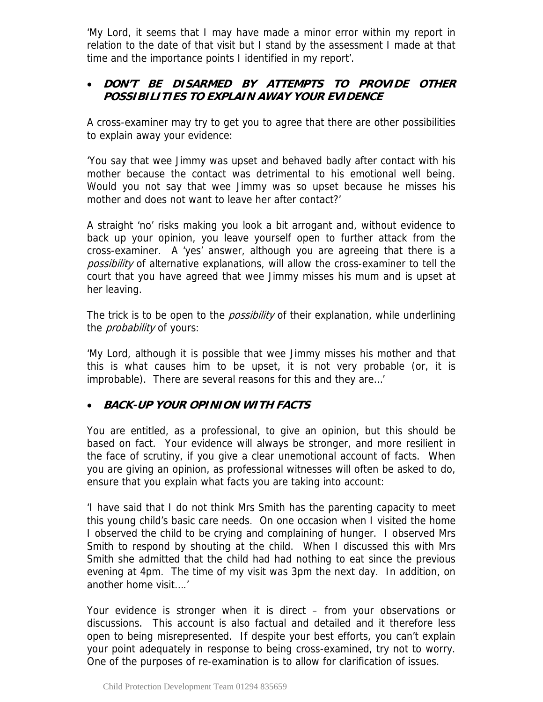'My Lord, it seems that I may have made a minor error within my report in relation to the date of that visit but I stand by the assessment I made at that time and the importance points I identified in my report'.

# • **DON'T BE DISARMED BY ATTEMPTS TO PROVIDE OTHER POSSIBILITIES TO EXPLAIN AWAY YOUR EVIDENCE**

A cross-examiner may try to get you to agree that there are other possibilities to explain away your evidence:

'You say that wee Jimmy was upset and behaved badly after contact with his mother because the contact was detrimental to his emotional well being. Would you not say that wee Jimmy was so upset because he misses his mother and does not want to leave her after contact?'

A straight 'no' risks making you look a bit arrogant and, without evidence to back up your opinion, you leave yourself open to further attack from the cross-examiner. A 'yes' answer, although you are agreeing that there is a possibility of alternative explanations, will allow the cross-examiner to tell the court that you have agreed that wee Jimmy misses his mum and is upset at her leaving.

The trick is to be open to the *possibility* of their explanation, while underlining the *probability* of yours:

'My Lord, although it is possible that wee Jimmy misses his mother and that this is what causes him to be upset, it is not very probable (or, it is improbable). There are several reasons for this and they are…'

# • **BACK-UP YOUR OPINION WITH FACTS**

You are entitled, as a professional, to give an opinion, but this should be based on fact. Your evidence will always be stronger, and more resilient in the face of scrutiny, if you give a clear unemotional account of facts. When you are giving an opinion, as professional witnesses will often be asked to do, ensure that you explain what facts you are taking into account:

'I have said that I do not think Mrs Smith has the parenting capacity to meet this young child's basic care needs. On one occasion when I visited the home I observed the child to be crying and complaining of hunger. I observed Mrs Smith to respond by shouting at the child. When I discussed this with Mrs Smith she admitted that the child had had nothing to eat since the previous evening at 4pm. The time of my visit was 3pm the next day. In addition, on another home visit….'

Your evidence is stronger when it is direct – from your observations or discussions. This account is also factual and detailed and it therefore less open to being misrepresented. If despite your best efforts, you can't explain your point adequately in response to being cross-examined, try not to worry. One of the purposes of re-examination is to allow for clarification of issues.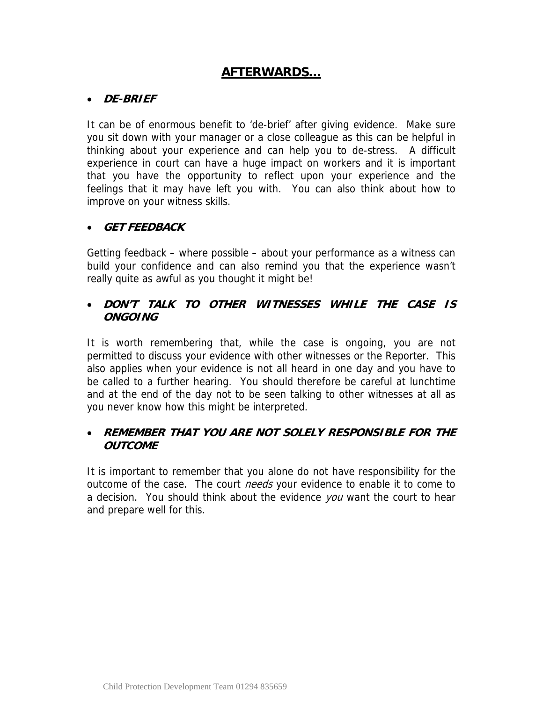# **AFTERWARDS…**

#### • **DE-BRIEF**

It can be of enormous benefit to 'de-brief' after giving evidence. Make sure you sit down with your manager or a close colleague as this can be helpful in thinking about your experience and can help you to de-stress. A difficult experience in court can have a huge impact on workers and it is important that you have the opportunity to reflect upon your experience and the feelings that it may have left you with. You can also think about how to improve on your witness skills.

## • **GET FEEDBACK**

Getting feedback – where possible – about your performance as a witness can build your confidence and can also remind you that the experience wasn't really quite as awful as you thought it might be!

# • **DON'T TALK TO OTHER WITNESSES WHILE THE CASE IS ONGOING**

It is worth remembering that, while the case is ongoing, you are not permitted to discuss your evidence with other witnesses or the Reporter. This also applies when your evidence is not all heard in one day and you have to be called to a further hearing. You should therefore be careful at lunchtime and at the end of the day not to be seen talking to other witnesses at all as you never know how this might be interpreted.

## • **REMEMBER THAT YOU ARE NOT SOLELY RESPONSIBLE FOR THE OUTCOME**

It is important to remember that you alone do not have responsibility for the outcome of the case. The court *needs* your evidence to enable it to come to a decision. You should think about the evidence you want the court to hear and prepare well for this.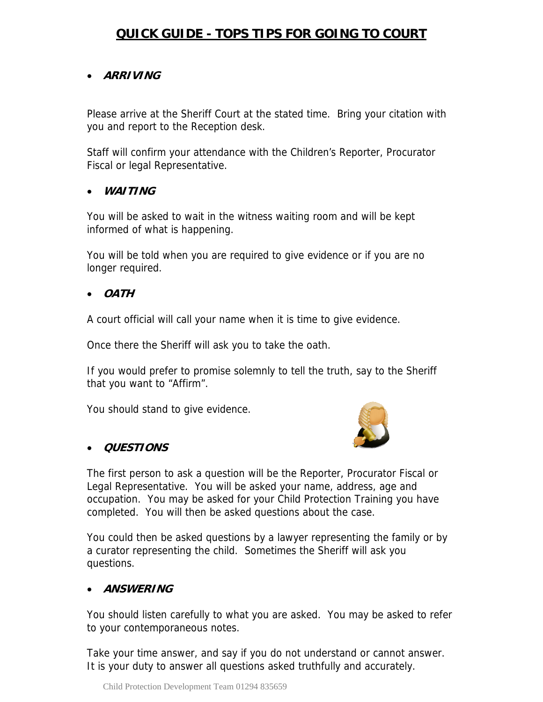# **QUICK GUIDE - TOPS TIPS FOR GOING TO COURT**

# • **ARRIVING**

Please arrive at the Sheriff Court at the stated time. Bring your citation with you and report to the Reception desk.

Staff will confirm your attendance with the Children's Reporter, Procurator Fiscal or legal Representative.

#### • **WAITING**

You will be asked to wait in the witness waiting room and will be kept informed of what is happening.

You will be told when you are required to give evidence or if you are no longer required.

• **OATH**

A court official will call your name when it is time to give evidence.

Once there the Sheriff will ask you to take the oath.

If you would prefer to promise solemnly to tell the truth, say to the Sheriff that you want to "Affirm".

You should stand to give evidence.



## • **QUESTIONS**

The first person to ask a question will be the Reporter, Procurator Fiscal or Legal Representative. You will be asked your name, address, age and occupation. You may be asked for your Child Protection Training you have completed. You will then be asked questions about the case.

You could then be asked questions by a lawyer representing the family or by a curator representing the child. Sometimes the Sheriff will ask you questions.

## • **ANSWERING**

You should listen carefully to what you are asked. You may be asked to refer to your contemporaneous notes.

Take your time answer, and say if you do not understand or cannot answer. It is your duty to answer all questions asked truthfully and accurately.